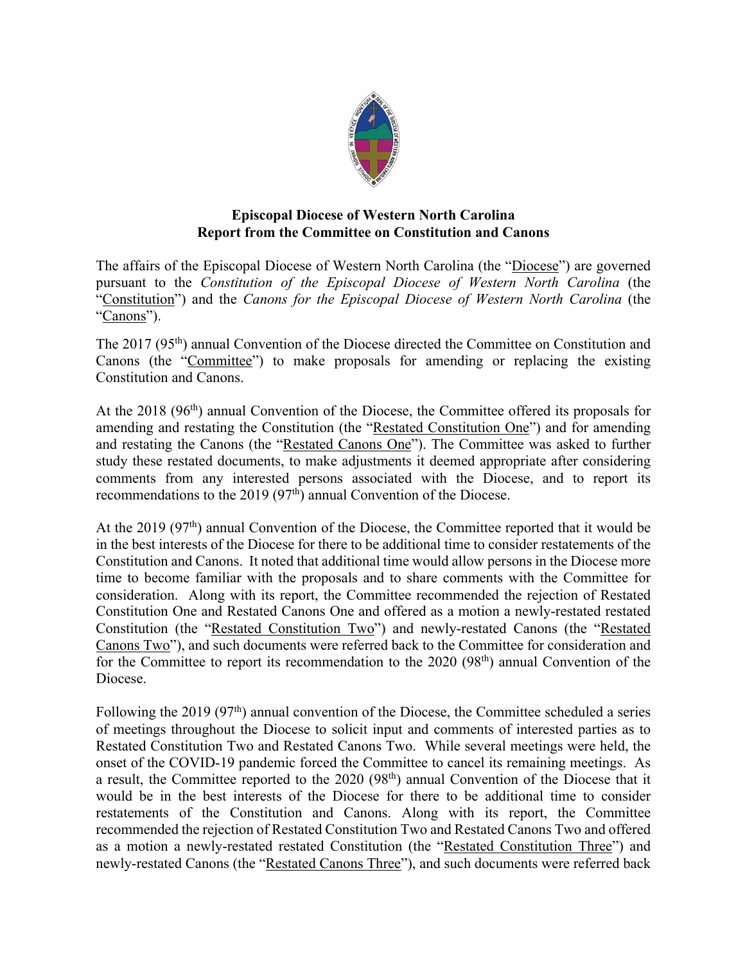

## **Episcopal Diocese of Western North Carolina Report from the Committee on Constitution and Canons**

The affairs of the Episcopal Diocese of Western North Carolina (the "Diocese") are governed pursuant to the *Constitution of the Episcopal Diocese of Western North Carolina* (the "Constitution") and the *Canons for the Episcopal Diocese of Western North Carolina* (the "Canons").

The 2017 (95<sup>th</sup>) annual Convention of the Diocese directed the Committee on Constitution and Canons (the "Committee") to make proposals for amending or replacing the existing Constitution and Canons.

At the  $2018$  (96<sup>th</sup>) annual Convention of the Diocese, the Committee offered its proposals for amending and restating the Constitution (the "Restated Constitution One") and for amending and restating the Canons (the "Restated Canons One"). The Committee was asked to further study these restated documents, to make adjustments it deemed appropriate after considering comments from any interested persons associated with the Diocese, and to report its recommendations to the 2019 (97<sup>th</sup>) annual Convention of the Diocese.

At the 2019 (97<sup>th</sup>) annual Convention of the Diocese, the Committee reported that it would be in the best interests of the Diocese for there to be additional time to consider restatements of the Constitution and Canons. It noted that additional time would allow persons in the Diocese more time to become familiar with the proposals and to share comments with the Committee for consideration. Along with its report, the Committee recommended the rejection of Restated Constitution One and Restated Canons One and offered as a motion a newly-restated restated Constitution (the "Restated Constitution Two") and newly-restated Canons (the "Restated Canons Two"), and such documents were referred back to the Committee for consideration and for the Committee to report its recommendation to the 2020 (98<sup>th</sup>) annual Convention of the Diocese.

Following the 2019 (97<sup>th</sup>) annual convention of the Diocese, the Committee scheduled a series of meetings throughout the Diocese to solicit input and comments of interested parties as to Restated Constitution Two and Restated Canons Two. While several meetings were held, the onset of the COVID-19 pandemic forced the Committee to cancel its remaining meetings. As a result, the Committee reported to the 2020 (98<sup>th</sup>) annual Convention of the Diocese that it would be in the best interests of the Diocese for there to be additional time to consider restatements of the Constitution and Canons. Along with its report, the Committee recommended the rejection of Restated Constitution Two and Restated Canons Two and offered as a motion a newly-restated restated Constitution (the "Restated Constitution Three") and newly-restated Canons (the "Restated Canons Three"), and such documents were referred back